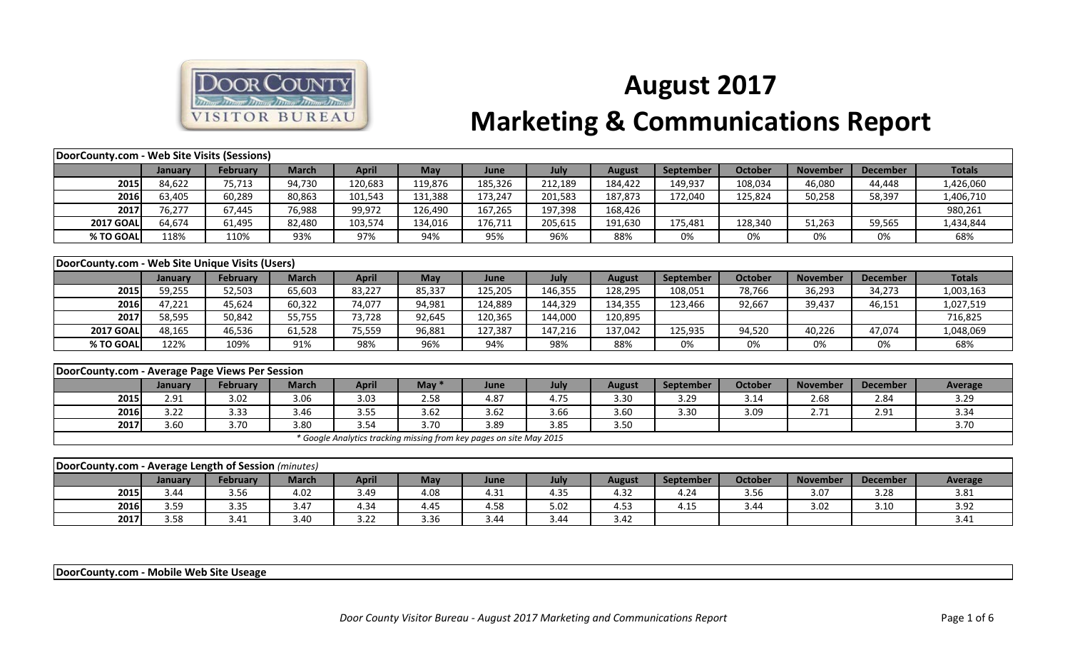

## **August 2017 Marketing & Communications Report**

| DoorCounty.com - Web Site Visits (Sessions)          |         |                 |              |                                                                     |            |         |         |               |           |                |                 |                 |                |
|------------------------------------------------------|---------|-----------------|--------------|---------------------------------------------------------------------|------------|---------|---------|---------------|-----------|----------------|-----------------|-----------------|----------------|
|                                                      | January | <b>February</b> | <b>March</b> | <b>April</b>                                                        | May        | June    | July    | <b>August</b> | September | <b>October</b> | <b>November</b> | <b>December</b> | <b>Totals</b>  |
| 2015                                                 | 84,622  | 75,713          | 94,730       | 120,683                                                             | 119,876    | 185,326 | 212,189 | 184,422       | 149,937   | 108,034        | 46,080          | 44,448          | 1,426,060      |
| 2016                                                 | 63,405  | 60,289          | 80,863       | 101,543                                                             | 131,388    | 173,247 | 201,583 | 187,873       | 172,040   | 125,824        | 50,258          | 58,397          | 1,406,710      |
| 2017                                                 | 76,277  | 67,445          | 76,988       | 99,972                                                              | 126,490    | 167,265 | 197,398 | 168,426       |           |                |                 |                 | 980,261        |
| <b>2017 GOAL</b>                                     | 64,674  | 61,495          | 82,480       | 103,574                                                             | 134,016    | 176,711 | 205,615 | 191,630       | 175,481   | 128,340        | 51,263          | 59,565          | 1,434,844      |
| % TO GOAL                                            | 118%    | 110%            | 93%          | 97%                                                                 | 94%        | 95%     | 96%     | 88%           | 0%        | 0%             | 0%              | 0%              | 68%            |
|                                                      |         |                 |              |                                                                     |            |         |         |               |           |                |                 |                 |                |
| DoorCounty.com - Web Site Unique Visits (Users)      |         |                 |              |                                                                     |            |         |         |               |           |                |                 |                 |                |
|                                                      | January | <b>February</b> | <b>March</b> | <b>April</b>                                                        | May        | June    | July    | <b>August</b> | September | <b>October</b> | <b>November</b> | <b>December</b> | <b>Totals</b>  |
| 2015                                                 | 59,255  | 52,503          | 65,603       | 83,227                                                              | 85,337     | 125,205 | 146,355 | 128,295       | 108,051   | 78,766         | 36,293          | 34,273          | 1,003,163      |
| 2016                                                 | 47,221  | 45,624          | 60,322       | 74,077                                                              | 94,981     | 124,889 | 144,329 | 134,355       | 123,466   | 92,667         | 39,437          | 46,151          | 1,027,519      |
| 2017                                                 | 58,595  | 50,842          | 55,755       | 73,728                                                              | 92,645     | 120,365 | 144,000 | 120,895       |           |                |                 |                 | 716,825        |
| <b>2017 GOAL</b>                                     | 48,165  | 46,536          | 61,528       | 75,559                                                              | 96,881     | 127,387 | 147,216 | 137,042       | 125,935   | 94,520         | 40,226          | 47,074          | 1,048,069      |
| % TO GOAL                                            | 122%    | 109%            | 91%          | 98%                                                                 | 96%        | 94%     | 98%     | 88%           | 0%        | 0%             | 0%              | 0%              | 68%            |
|                                                      |         |                 |              |                                                                     |            |         |         |               |           |                |                 |                 |                |
| DoorCounty.com - Average Page Views Per Session      |         |                 |              |                                                                     |            |         |         |               |           |                |                 |                 |                |
|                                                      | January | <b>February</b> | <b>March</b> | <b>April</b>                                                        | May $*$    | June    | July    | <b>August</b> | September | <b>October</b> | <b>November</b> | <b>December</b> | <b>Average</b> |
| 2015                                                 | 2.91    | 3.02            | 3.06         | 3.03                                                                | 2.58       | 4.87    | 4.75    | 3.30          | 3.29      | 3.14           | 2.68            | 2.84            | 3.29           |
| 2016                                                 | 3.22    | 3.33            | 3.46         | 3.55                                                                | 3.62       | 3.62    | 3.66    | 3.60          | 3.30      | 3.09           | 2.71            | 2.91            | 3.34           |
| 2017                                                 | 3.60    | 3.70            | 3.80         | 3.54                                                                | 3.70       | 3.89    | 3.85    | 3.50          |           |                |                 |                 | 3.70           |
|                                                      |         |                 |              | * Google Analytics tracking missing from key pages on site May 2015 |            |         |         |               |           |                |                 |                 |                |
|                                                      |         |                 |              |                                                                     |            |         |         |               |           |                |                 |                 |                |
| DoorCounty.com - Average Length of Session (minutes) |         |                 |              |                                                                     |            |         |         |               |           |                |                 |                 |                |
|                                                      | January | <b>February</b> | <b>March</b> | <b>April</b>                                                        | <b>May</b> | June    | July    | <b>August</b> | September | <b>October</b> | <b>November</b> | <b>December</b> | <b>Average</b> |
| 2015                                                 | 3.44    | 3.56            | 4.02         | 3.49                                                                | 4.08       | 4.31    | 4.35    | 4.32          | 4.24      | 3.56           | 3.07            | 3.28            | 3.81           |
| 2016                                                 | 3.59    | 3.35            | 3.47         | 4.34                                                                | 4.45       | 4.58    | 5.02    | 4.53          | 4.15      | 3.44           | 3.02            | 3.10            | 3.92           |

**DoorCounty.com - Mobile Web Site Useage** 

**2017** 3.58 3.41 3.40 3.22 3.36 3.44 3.44 3.42 3.42 3.58 3.41 3.41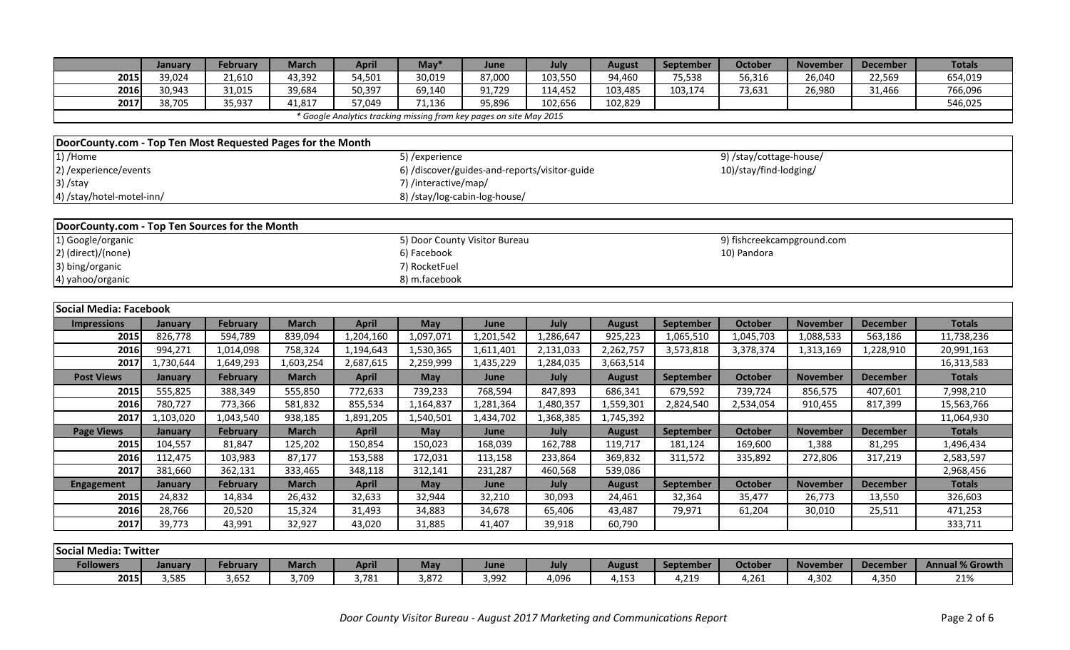|                                                             | January        | February        | <b>March</b> | <b>April</b>                                                        | $May*$               | June                          | July                                          | <b>August</b> | September | <b>October</b>             | <b>November</b> | <b>December</b> | <b>Totals</b>            |
|-------------------------------------------------------------|----------------|-----------------|--------------|---------------------------------------------------------------------|----------------------|-------------------------------|-----------------------------------------------|---------------|-----------|----------------------------|-----------------|-----------------|--------------------------|
| 2015                                                        | 39,024         | 21,610          | 43,392       | 54,501                                                              | 30,019               | 87,000                        | 103,550                                       | 94,460        | 75,538    | 56,316                     | 26,040          | 22,569          | 654,019                  |
| 2016                                                        | 30,943         | 31,015          | 39,684       | 50,397                                                              | 69,140               | 91,729                        | 114,452                                       | 103,485       | 103,174   | 73,631                     | 26,980          | 31,466          | 766,096                  |
| 2017                                                        | 38,705         | 35,937          | 41,817       | 57,049                                                              | 71,136               | 95,896                        | 102,656                                       | 102,829       |           |                            |                 |                 | 546,025                  |
|                                                             |                |                 |              | * Google Analytics tracking missing from key pages on site May 2015 |                      |                               |                                               |               |           |                            |                 |                 |                          |
|                                                             |                |                 |              |                                                                     |                      |                               |                                               |               |           |                            |                 |                 |                          |
| DoorCounty.com - Top Ten Most Requested Pages for the Month |                |                 |              |                                                                     |                      |                               |                                               |               |           |                            |                 |                 |                          |
| 1) /Home                                                    |                |                 |              |                                                                     | 5) / experience      |                               |                                               |               |           | 9) /stay/cottage-house/    |                 |                 |                          |
| 2) / experience/ events                                     |                |                 |              |                                                                     |                      |                               | 6) /discover/guides-and-reports/visitor-guide |               |           | 10)/stay/find-lodging/     |                 |                 |                          |
| 3) /stay                                                    |                |                 |              |                                                                     | 7) /interactive/map/ |                               |                                               |               |           |                            |                 |                 |                          |
| 4) /stay/hotel-motel-inn/                                   |                |                 |              |                                                                     |                      | 8) /stay/log-cabin-log-house/ |                                               |               |           |                            |                 |                 |                          |
|                                                             |                |                 |              |                                                                     |                      |                               |                                               |               |           |                            |                 |                 |                          |
| DoorCounty.com - Top Ten Sources for the Month              |                |                 |              |                                                                     |                      |                               |                                               |               |           |                            |                 |                 |                          |
| 1) Google/organic                                           |                |                 |              |                                                                     |                      | 5) Door County Visitor Bureau |                                               |               |           | 9) fishcreekcampground.com |                 |                 |                          |
| 2) (direct)/(none)                                          |                |                 |              |                                                                     | 6) Facebook          |                               |                                               |               |           | 10) Pandora                |                 |                 |                          |
| 3) bing/organic                                             |                |                 |              |                                                                     | 7) RocketFuel        |                               |                                               |               |           |                            |                 |                 |                          |
| 4) yahoo/organic                                            |                |                 |              |                                                                     | 8) m.facebook        |                               |                                               |               |           |                            |                 |                 |                          |
|                                                             |                |                 |              |                                                                     |                      |                               |                                               |               |           |                            |                 |                 |                          |
| Social Media: Facebook                                      |                |                 |              |                                                                     |                      |                               |                                               |               |           |                            |                 |                 |                          |
| <b>Impressions</b>                                          | January        | February        | <b>March</b> | <b>April</b>                                                        | May                  | June                          | July                                          | <b>August</b> | September | <b>October</b>             | <b>November</b> | <b>December</b> | <b>Totals</b>            |
| 2015                                                        | 826,778        | 594,789         | 839,094      | 1,204,160                                                           | 1,097,071            | 1,201,542                     | 1,286,647                                     | 925,223       | 1,065,510 | 1,045,703                  | 1,088,533       | 563,186         | 11,738,236               |
| 2016                                                        | 994,271        | 1,014,098       | 758,324      | 1,194,643                                                           | 1,530,365            | 1,611,401                     | 2,131,033                                     | 2,262,757     | 3,573,818 | 3,378,374                  | 1,313,169       | 1,228,910       | 20,991,163               |
| 2017                                                        | 1,730,644      | 1,649,293       | 1,603,254    | 2,687,615                                                           | 2,259,999            | 1,435,229                     | 1,284,035                                     | 3,663,514     |           |                            |                 |                 | 16,313,583               |
| <b>Post Views</b>                                           | <b>January</b> | <b>February</b> | <b>March</b> | <b>April</b>                                                        | May                  | June                          | July                                          | <b>August</b> | September | <b>October</b>             | <b>November</b> | <b>December</b> | <b>Totals</b>            |
| 2015                                                        | 555,825        | 388,349         | 555,850      | 772,633                                                             | 739,233              | 768,594                       | 847,893                                       | 686,341       | 679,592   | 739,724                    | 856,575         | 407,601         | 7,998,210                |
| 2016                                                        | 780,727        | 773,366         | 581,832      | 855,534                                                             | 1,164,837            | 1,281,364                     | 1,480,357                                     | 1,559,301     | 2,824,540 | 2,534,054                  | 910,455         | 817,399         | 15,563,766               |
| 2017                                                        | 1,103,020      | 1,043,540       | 938,185      | 1,891,205                                                           | 1,540,501            | 1,434,702                     | 1,368,385                                     | 1,745,392     |           |                            |                 |                 | 11,064,930               |
| <b>Page Views</b>                                           | January        | <b>February</b> | <b>March</b> | <b>April</b>                                                        | May                  | June                          | July                                          | <b>August</b> | September | <b>October</b>             | <b>November</b> | <b>December</b> | <b>Totals</b>            |
| 2015                                                        | 104,557        | 81,847          | 125,202      | 150,854                                                             | 150,023              | 168,039                       | 162,788                                       | 119,717       | 181,124   | 169,600                    | 1,388           | 81,295          | 1,496,434                |
| 2016                                                        | 112,475        | 103,983         | 87,177       | 153,588                                                             | 172,031              | 113,158                       | 233,864                                       | 369,832       | 311,572   | 335,892                    | 272,806         | 317,219         | 2,583,597                |
| 2017                                                        | 381,660        | 362,131         | 333,465      | 348,118                                                             | 312,141              | 231,287                       | 460,568                                       | 539,086       |           |                            |                 |                 | 2,968,456                |
| <b>Engagement</b>                                           | January        | February        | <b>March</b> | <b>April</b>                                                        | May                  | June                          | July                                          | <b>August</b> | September | <b>October</b>             | <b>November</b> | <b>December</b> | <b>Totals</b>            |
| 2015                                                        | 24,832         | 14,834          | 26,432       | 32,633                                                              | 32,944               | 32,210                        | 30,093                                        | 24,461        | 32,364    | 35,477                     | 26,773          | 13,550          | 326,603                  |
| 2016                                                        | 28,766         | 20,520          | 15,324       | 31,493                                                              | 34,883               | 34,678                        | 65,406                                        | 43,487        | 79,971    | 61,204                     | 30,010          | 25,511          | 471,253                  |
| 2017                                                        | 39,773         | 43,991          | 32,927       | 43,020                                                              | 31,885               | 41,407                        | 39,918                                        | 60,790        |           |                            |                 |                 | 333,711                  |
|                                                             |                |                 |              |                                                                     |                      |                               |                                               |               |           |                            |                 |                 |                          |
| <b>Social Media: Twitter</b>                                |                |                 |              |                                                                     |                      |                               |                                               |               |           |                            |                 |                 |                          |
| <b>Followers</b>                                            | <b>January</b> | February        | <b>March</b> | <b>Anril</b>                                                        | May                  | lune                          | <b>Inly</b>                                   | <b>August</b> | Sentember | October                    | <b>November</b> |                 | December Annual % Growth |

| <b>1900181 IVICQIA. I WILLCI</b> |              |                |              |       |            |       |       |           |             |         |                 |                 |                        |
|----------------------------------|--------------|----------------|--------------|-------|------------|-------|-------|-----------|-------------|---------|-----------------|-----------------|------------------------|
| <b>Followers</b>                 | January      | <b>Februar</b> | <b>March</b> | April | <b>May</b> | June  | Jul⊽  | August    | September   | Octobeı | <b>November</b> | <b>December</b> | <b>Annual % Growth</b> |
| 2015                             | 525<br>J,JU. | 3,652          | 3,709        | 3,781 | 3,872      | 3,992 | +.096 | 1152<br>. | 210<br>4.ZL | 4.261   | 1.302           | 1 350<br>r. J.J | 240<br>210             |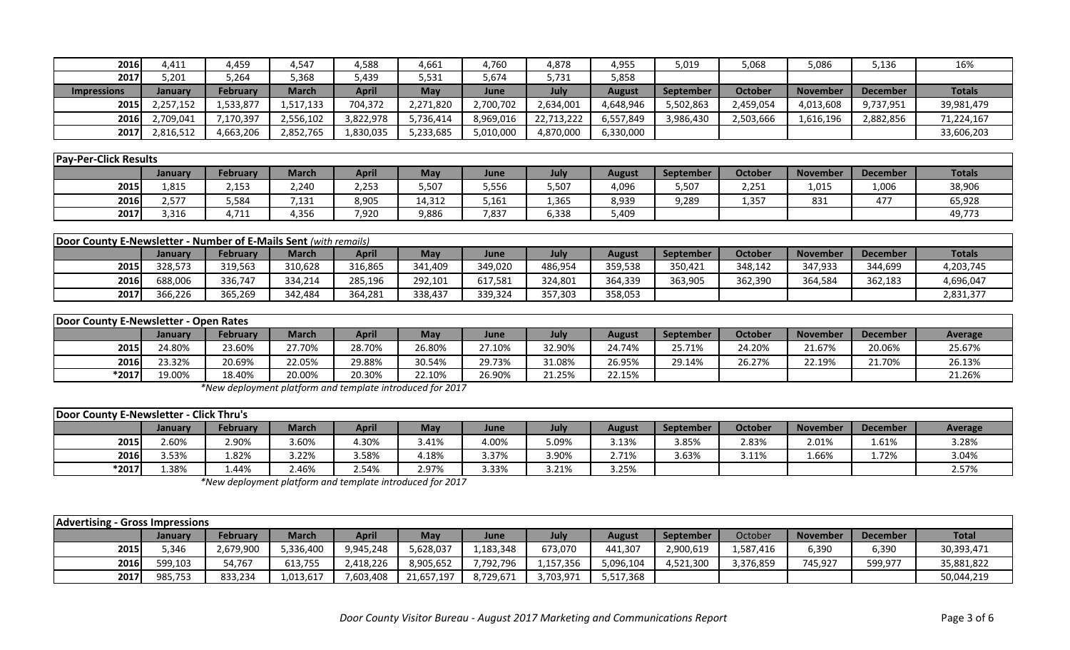| 2016               | 4,411     | 4,459           | 4,547        | 4,588        | 4,661      | 4,760     | 4,878      | 4,955     | 019,د            | 5,068          | 5,086           | 5,136           | 16%           |
|--------------------|-----------|-----------------|--------------|--------------|------------|-----------|------------|-----------|------------------|----------------|-----------------|-----------------|---------------|
| 2017               | 5,201     | 264,د           | 5,368        | 439,د        | 5,531      | 5,674     | 5,731      | 5,858     |                  |                |                 |                 |               |
| <b>Impressions</b> | January   | <b>February</b> | <b>March</b> | <b>April</b> | <b>May</b> | June      | July       | August    | <b>September</b> | <b>October</b> | <b>November</b> | <b>December</b> | <b>Totals</b> |
| 2015               | 2,257,152 | 1,533,877       | 1,517,133    | 704,372      | 2,271,820  | 2,700,702 | 2,634,001  | 4,648,946 | 5,502,863        | 2,459,054      | 4,013,608       | 9,737,951       | 39,981,479    |
| 2016               | 2,709,041 | 170,397,        | 2,556,102    | 3,822,978    | 5,736,414  | 8,969,016 | 22,713,222 | 6,557,849 | 3,986,430        | 2,503,666      | 1,616,196       | 2,882,856       | 71,224,167    |
| 2017               | 2,816,512 | 4,663,206       | 2,852,765    | 1,830,035    | 5,233,685  | 5,010,000 | 4,870,000  | 6,330,000 |                  |                |                 |                 | 33,606,203    |

| <b>Pay-Per-Click Results</b> |                |                 |              |              |            |       |       |               |                  |         |                 |                 |               |
|------------------------------|----------------|-----------------|--------------|--------------|------------|-------|-------|---------------|------------------|---------|-----------------|-----------------|---------------|
|                              | <b>January</b> | <b>February</b> | <b>March</b> | <b>April</b> | <b>May</b> | June  | July  | <b>August</b> | <b>September</b> | October | <b>November</b> | <b>December</b> | <b>Totals</b> |
| 2015                         | 1,815          | 2,153           | 2,240        | 2,253        | 5,507      | 5,556 | 5,507 | 1,096         | 5,507            | 2,251   | 1,015           | 1,006           | 38,906        |
| 2016                         | 2,577          | 584,د           | 7,131        | 8,905        | 4,312      | 5,161 | 365,ء | 8,939         | 9,289            | 1,357   | 831             | 477             | 65,928        |
| 2017                         | 3,316          | 4,711           | 4,356        | 7,920        | 9,886      | 7,837 | 6,338 | 409,          |                  |         |                 |                 | 49,773        |

| <b>Door County E-Newsletter - Number of E-Mails Sent (with remails)</b> |         |                 |              |              |         |         |         |         |                  |         |                 |                 |               |
|-------------------------------------------------------------------------|---------|-----------------|--------------|--------------|---------|---------|---------|---------|------------------|---------|-----------------|-----------------|---------------|
|                                                                         | Januarv | <b>February</b> | <b>March</b> | <b>April</b> | May     | June    | July    | August  | <b>September</b> | October | <b>November</b> | <b>December</b> | <b>Totals</b> |
| 2015                                                                    | 328,573 | 319,563         | 310,628      | 316,865      | 341,409 | 349,020 | 486,954 | 359,538 | 350,421          | 348,142 | 347,933         | 344,699         | 4,203,745     |
| 2016                                                                    | 688,006 | 336,747         | 334,214      | 285,196      | 292,101 | 617,581 | 324,801 | 364,339 | 363,905          | 362,390 | 364,584         | 362,183         | 4,696,047     |
| 2017                                                                    | 366.226 | 365,269         | 342,484      | 364,281      | 338,437 | 339,324 | 357,303 | 358,053 |                  |         |                 |                 | 2,831,377     |

| Door County E-Newsletter - Open Rates |         |          |              |              |        |        |        |        |           |                |                 |                 |         |
|---------------------------------------|---------|----------|--------------|--------------|--------|--------|--------|--------|-----------|----------------|-----------------|-----------------|---------|
|                                       | Januarv | February | <b>March</b> | <b>April</b> | May    | June   | July   | August | September | <b>October</b> | <b>November</b> | <b>December</b> | Average |
| 2015                                  | 24.80%  | 23.60%   | 27.70%       | 28.70%       | 26.80% | 27.10% | 32.90% | 24.74% | 25.71%    | 24.20%         | 21.67%          | 20.06%          | 25.67%  |
| 2016                                  | 23.32%  | 20.69%   | 22.05%       | 29.88%       | 30.54% | 29.73% | 31.08% | 26.95% | 29.14%    | 26.27%         | 22.19%          | 21.70%          | 26.13%  |
| $*2017$                               | 19.00%  | 18.40%   | 20.00%       | 20.30%       | 2.10%  | 26.90% | 21.25% | 22.15% |           |                |                 |                 | 21.26%  |

*\*New deployment platform and template introduced for 2017*

| <b>Door County E-Newsletter - Click Thru's</b> |         |          |              |       |       |       |       |        |                  |         |                 |                 |         |
|------------------------------------------------|---------|----------|--------------|-------|-------|-------|-------|--------|------------------|---------|-----------------|-----------------|---------|
|                                                | January | February | <b>March</b> | April | May   | June  | July  | August | <b>September</b> | October | <b>November</b> | <b>December</b> | Average |
| 2015                                           | 2.60%   | 2.90%    | 3.60%        | 4.30% | 3.41% | 4.00% | 5.09% | 3.13%  | 3.85%            | 2.83%   | 2.01%           | 1.61%           | 3.28%   |
| <b>2016</b>                                    | 3.53%   | 1.82%    | 3.22%        | 3.58% | 4.18% | 3.37% | 3.90% | 2.71%  | 3.63%            | 3.11%   | 1.66%           | 1.72%           | 3.04%   |
| $*2017$                                        | l.38%   | 1.44%    | 2.46%        | 2.54% | 2.97% | 3.33% | 3.21% | 3.25%  |                  |         |                 |                 | 2.57%   |

*\*New deployment platform and template introduced for 2017*

| <b>Advertising - Gross Impressions</b> |         |                 |              |              |            |           |           |           |                  |           |                 |                 |              |
|----------------------------------------|---------|-----------------|--------------|--------------|------------|-----------|-----------|-----------|------------------|-----------|-----------------|-----------------|--------------|
|                                        | January | <b>February</b> | <b>March</b> | <b>April</b> | <b>May</b> | June      | July      | August    | <b>September</b> | October   | <b>November</b> | <b>December</b> | <b>Total</b> |
| 2015                                   | 5.346   | 2,679,900       | 5,336,400    | 9,945,248    | 5,628,037  | 1,183,348 | 673,070   | 441,307   | 2,900,619        | 1,587,416 | 6,390           | 6,390           | 30,393,471   |
| 2016                                   | 599,103 | 54,767          | 613,755      | 2,418,226    | 8,905,652  | 7,792,796 | 1,157,356 | 5,096,104 | 4,521,300        | 3,376,859 | 745,927         | 599,977         | 35,881,822   |
| 2017                                   | 985,753 | 833,234         | 1,013,617    | 7,603,408    | 21,657,197 | 8,729,671 | 3,703,971 | 5,517,368 |                  |           |                 |                 | 50,044,219   |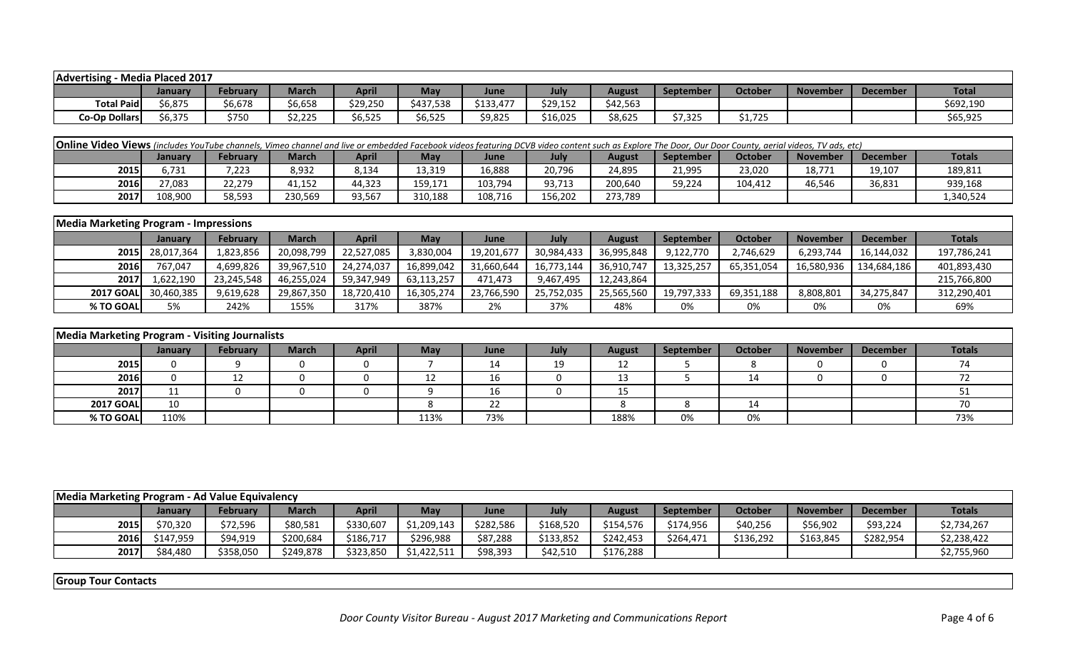| Advertising          | - Media Placed 2017 |          |                       |          |            |           |          |          |                  |         |                 |                 |              |
|----------------------|---------------------|----------|-----------------------|----------|------------|-----------|----------|----------|------------------|---------|-----------------|-----------------|--------------|
|                      | January             | February | March                 | April    | <b>May</b> | June      | Julv     | August   | September        | October | <b>November</b> | <b>December</b> | <b>Total</b> |
| <b>Total Paid</b>    | 6,875               | 6,678    | \$6,658               | \$29,250 | \$437,538  | \$133,477 | \$29,152 | \$42,563 |                  |         |                 |                 | \$692,190    |
| <b>Co-Op Dollars</b> | 56,375              | 1750     | - ---<br>,,<br>りん,ムムこ | \$6,525  | \$6,525    | \$9,825   | \$16,025 | \$8,625  | 1 275<br>ـ ے ر ر | \$1,725 |                 |                 | \$65,925     |

| <b>Online Video Views</b> (includes YouTube channels, Vimeo channel and live or embedded Facebook videos featuring DCVB video content such as Explore The Door, Our Door County, aerial videos, TV ads, etc) |         |          |              |              |         |         |         |         |                  |         |                 |                 |               |
|--------------------------------------------------------------------------------------------------------------------------------------------------------------------------------------------------------------|---------|----------|--------------|--------------|---------|---------|---------|---------|------------------|---------|-----------------|-----------------|---------------|
|                                                                                                                                                                                                              | Januarv | February | <b>March</b> | <b>April</b> | May     | June    | Julv    | August  | <b>September</b> | October | <b>November</b> | <b>December</b> | <b>Totals</b> |
| 2015                                                                                                                                                                                                         | 6.731   | 7,223    | 8,932        | 8,134        | 13,319  | 16,888  | 20,796  | 24,895  | 21,995           | 23,020  | 18,771          | 19,107          | 189,811       |
| 2016                                                                                                                                                                                                         | 7.083   | 22,279   | 1,152        | 44,323       | 159,171 | 103,794 | 93,713  | 200,640 | 59,224           | 104.412 | 46,546          | 36,831          | 939,168       |
| 2017                                                                                                                                                                                                         | 108.900 | 58,593   | 230,569      | 93,567       | 310,188 | 108.716 | 156,202 | 273,789 |                  |         |                 |                 | 1,340,524     |

| <b>Media Marketing Program - Impressions</b> |                 |                 |              |              |            |             |            |               |                  |            |                 |                 |               |
|----------------------------------------------|-----------------|-----------------|--------------|--------------|------------|-------------|------------|---------------|------------------|------------|-----------------|-----------------|---------------|
|                                              | January         | <b>February</b> | <b>March</b> | <b>April</b> | Mav        | <b>June</b> | July       | <b>August</b> | <b>September</b> | October    | <b>November</b> | <b>December</b> | <b>Totals</b> |
|                                              | 2015 28,017,364 | 1,823,856       | 20,098,799   | 22,527,085   | 3,830,004  | 19,201,677  | 30,984,433 | 36,995,848    | 9,122,770        | 2,746,629  | 6,293,744       | 16,144,032      | 197,786,241   |
| 2016                                         | 767.047         | 4,699,826       | 39,967,510   | 24.274.037   | 16,899,042 | 31,660,644  | 16,773,144 | 36,910,747    | 13,325,257       | 65,351,054 | 16,580,936      | 134,684,186     | 401,893,430   |
| <b>2017</b>                                  | 1,622,190       | 23,245,548      | 46,255,024   | 59,347,949   | 63,113,257 | 471.473     | 9,467,495  | 12,243,864    |                  |            |                 |                 | 215,766,800   |
| <b>2017 GOAL</b>                             | 30,460,385      | 9,619,628       | 29,867,350   | 18,720,410   | 16,305,274 | 23,766,590  | 25,752,035 | 25,565,560    | 19,797,333       | 69,351,188 | 8,808,801       | 34,275,847      | 312,290,401   |
| % TO GOAL                                    | 5%              | 242%            | 155%         | 317%         | 387%       | 2%          | 37%        | 48%           | 0%               | 0%         | 0%              | 0%              | 69%           |

|                  | Media Marketing Program - Visiting Journalists |          |              |              |      |      |      |        |           |         |                 |                 |               |  |
|------------------|------------------------------------------------|----------|--------------|--------------|------|------|------|--------|-----------|---------|-----------------|-----------------|---------------|--|
|                  | <b>January</b>                                 | February | <b>March</b> | <b>April</b> | May  | June | July | August | September | October | <b>November</b> | <b>December</b> | <b>Totals</b> |  |
| 2015             |                                                |          |              |              |      | 14   | 19   | 12     |           |         |                 |                 |               |  |
| 2016             |                                                | 12<br>∸  |              |              |      | 16   |      | 13     |           |         |                 |                 |               |  |
| 2017             | 11                                             |          |              |              |      | 16   |      | 15     |           |         |                 |                 |               |  |
| <b>2017 GOAL</b> | 10                                             |          |              |              |      | 22   |      |        |           | 14      |                 |                 |               |  |
| % TO GOAL        | 110%                                           |          |              |              | 113% | 73%  |      | 188%   | 0%        | 0%      |                 |                 | 73%           |  |

|      | Media Marketing Program - Ad Value Equivalency |                 |              |              |             |           |           |           |                  |                |                 |                 |               |  |
|------|------------------------------------------------|-----------------|--------------|--------------|-------------|-----------|-----------|-----------|------------------|----------------|-----------------|-----------------|---------------|--|
|      | Januarv                                        | <b>February</b> | <b>March</b> | <b>April</b> | May         | June      | July      | August    | <b>September</b> | <b>October</b> | <b>November</b> | <b>December</b> | <b>Totals</b> |  |
| 2015 | \$70,320                                       | \$72,596        | \$80,581     | \$330,607    | \$1,209,143 | \$282,586 | \$168,520 | \$154,576 | \$174,956        | \$40,256       | \$56,902        | \$93,224        | \$2,734,267   |  |
| 2016 | \$147,959                                      | \$94,919        | \$200,684    | \$186,717    | \$296,988   | \$87,288  | \$133,852 | \$242,453 | \$264,471        | \$136,292      | \$163,845       | \$282,954       | \$2,238,422   |  |
| 2017 | \$84,480                                       | \$358,050       | \$249,878    | \$323,850    | \$1,422,511 | \$98,393  | \$42,510  | \$176,288 |                  |                |                 |                 | \$2,755,960   |  |

**Group Tour Contacts**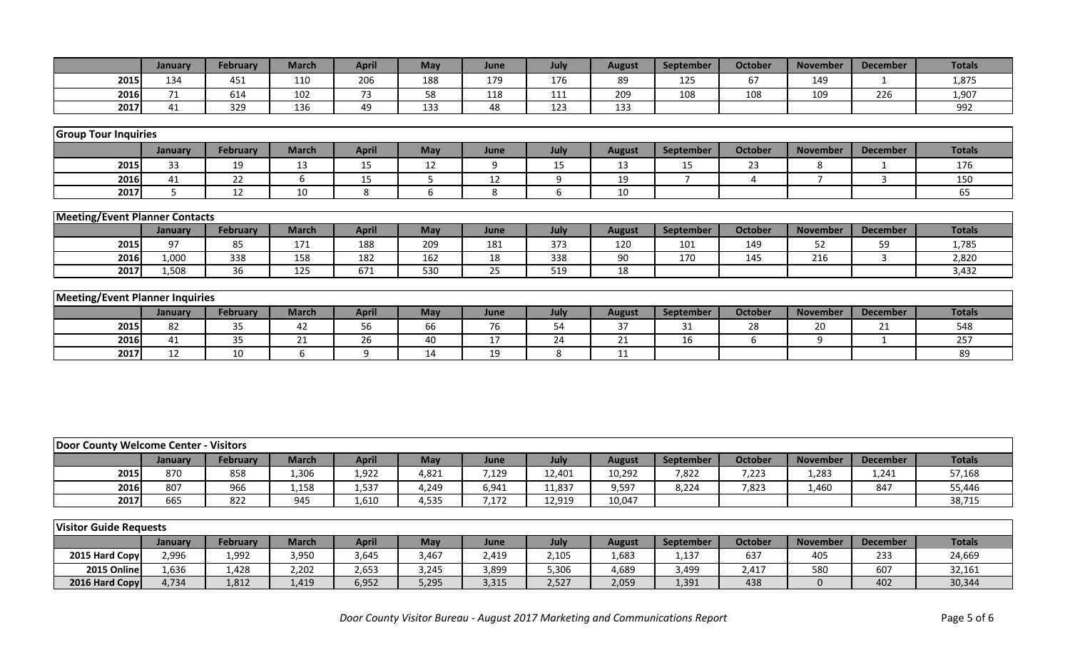|                                        | January | <b>February</b> | <b>March</b> | <b>April</b> | <b>May</b> | June | July | <b>August</b> | September      | October        | <b>November</b> | <b>December</b> | <b>Totals</b> |
|----------------------------------------|---------|-----------------|--------------|--------------|------------|------|------|---------------|----------------|----------------|-----------------|-----------------|---------------|
| 2015                                   | 134     | 451             | 110          | 206          | 188        | 179  | 176  | 89            | 125            | 67             | 149             |                 | 1,875         |
| 2016                                   | 71      | 614             | 102          | 73           | 58         | 118  | 111  | 209           | 108            | 108            | 109             | 226             | 1,907         |
| 2017                                   | 41      | 329             | 136          | 49           | 133        | 48   | 123  | 133           |                |                |                 |                 | 992           |
|                                        |         |                 |              |              |            |      |      |               |                |                |                 |                 |               |
| <b>Group Tour Inquiries</b>            |         |                 |              |              |            |      |      |               |                |                |                 |                 |               |
|                                        | January | February        | <b>March</b> | <b>April</b> | <b>May</b> | June | July | <b>August</b> | September      | <b>October</b> | <b>November</b> | <b>December</b> | <b>Totals</b> |
| 2015                                   | 33      | 19              | 13           | 15           | 12         | 9    | 15   | 13            | 15             | 23             | 8               |                 | 176           |
| 2016                                   | 41      | 22              | 6            | 15           | 5          | 12   | 9    | 19            | $\overline{7}$ | 4              | $\mathbf{z}$    | 3               | 150           |
| 2017                                   | 5       | 12              | 10           | 8            | 6          | 8    | 6    | 10            |                |                |                 |                 | 65            |
|                                        |         |                 |              |              |            |      |      |               |                |                |                 |                 |               |
| <b>Meeting/Event Planner Contacts</b>  |         |                 |              |              |            |      |      |               |                |                |                 |                 |               |
|                                        | January | <b>February</b> | <b>March</b> | <b>April</b> | <b>May</b> | June | July | <b>August</b> | September      | <b>October</b> | <b>November</b> | <b>December</b> | <b>Totals</b> |
| 2015                                   | 97      | 85              | 171          | 188          | 209        | 181  | 373  | 120           | 101            | 149            | 52              | 59              | 1,785         |
| 2016                                   | 1,000   | 338             | 158          | 182          | 162        | 18   | 338  | 90            | 170            | 145            | 216             | $\mathbf{3}$    | 2,820         |
| 2017                                   | 1,508   | 36              | 125          | 671          | 530        | 25   | 519  | 18            |                |                |                 |                 | 3,432         |
|                                        |         |                 |              |              |            |      |      |               |                |                |                 |                 |               |
| <b>Meeting/Event Planner Inquiries</b> |         |                 |              |              |            |      |      |               |                |                |                 |                 |               |
|                                        | January | <b>February</b> | <b>March</b> | <b>April</b> | May        | June | July | <b>August</b> | September      | <b>October</b> | <b>November</b> | <b>December</b> | <b>Totals</b> |
| 2015                                   | 82      | 35              | 42           | 56           | 66         | 76   | 54   | 37            | 31             | 28             | 20              | 21              | 548           |
| 2016                                   | 41      | 35              | 21           | 26           | 40         | 17   | 24   | 21            | 16             | 6              | q               |                 | 257           |
| 2017                                   | 12      | 10              | 6            | 9            | 14         | 19   | 8    | 11            |                |                |                 |                 | 89            |

|      | - Visitors<br><b>Door County Welcome Center -</b> |          |              |       |       |       |        |        |                  |         |                 |                 |               |  |
|------|---------------------------------------------------|----------|--------------|-------|-------|-------|--------|--------|------------------|---------|-----------------|-----------------|---------------|--|
|      | January                                           | February | <b>March</b> | April | May   | June  | July   | August | <b>September</b> | October | <b>November</b> | <b>December</b> | <b>Totals</b> |  |
| 2015 | 870                                               | 858      | 1,306        | 1,922 | 4,821 | 7,129 | 12,401 | 10,292 | 7,822            | 7,223   | 1,283           | 1,241           | 57,168        |  |
| 2016 | 807                                               | 966      | 1,158        | 1,537 | 4,249 | 6,941 | 11,837 | 9,597  | 8,224            | 7,823   | 1,460           | 847             | 55,446        |  |
| 2017 | 665                                               | 822      | 945          | 1,610 | 4,535 | ',172 | 12,919 | 10,047 |                  |         |                 |                 | 38,715        |  |

|                | <b>Visitor Guide Requests</b> |                 |       |              |        |       |       |        |           |         |                 |                 |               |  |
|----------------|-------------------------------|-----------------|-------|--------------|--------|-------|-------|--------|-----------|---------|-----------------|-----------------|---------------|--|
|                | January                       | <b>February</b> | March | <b>April</b> | May    | June  | July  | August | September | October | <b>November</b> | <b>December</b> | <b>Totals</b> |  |
| 2015 Hard Copy | 2,996                         | 1,992           | 3,950 | 3,645        | 467. ا | 2,419 | 2,105 | 1,683  | 1,137     | 637     | 405             | 233             | 24,669        |  |
| 2015 Online    | 1,636                         | 1,428           | 2,202 | 2,653        | 3,245  | 3,899 | 5,306 | 4,689  | 3,499     | 2.417   | 580             | 607             | 32,161        |  |
| 2016 Hard Copy | 4,734                         | 1,812           | 1,419 | 6,952        | 5,295  | 3,315 | 2,527 | 2,059  | 1,391     | 438     |                 | 402             | 30,344        |  |